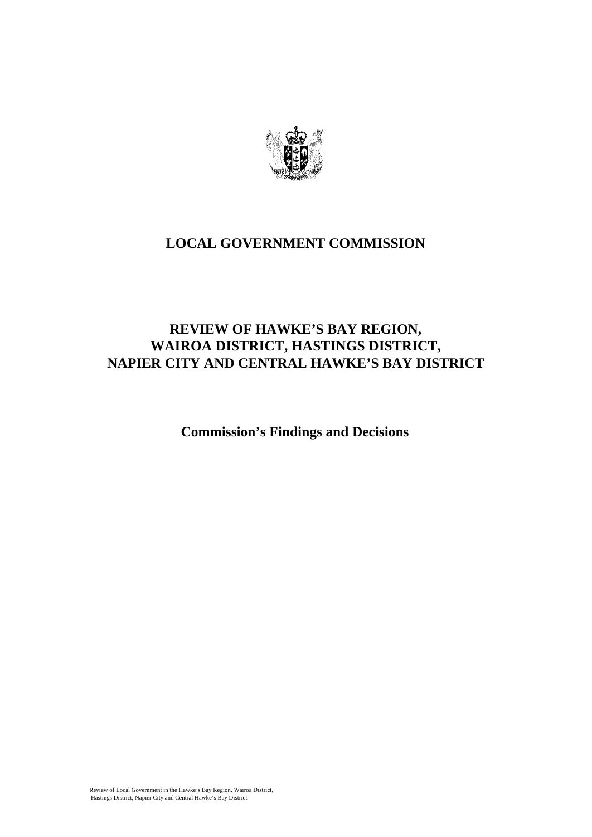

# **LOCAL GOVERNMENT COMMISSION**

# **REVIEW OF HAWKE'S BAY REGION, WAIROA DISTRICT, HASTINGS DISTRICT, NAPIER CITY AND CENTRAL HAWKE'S BAY DISTRICT**

**Commission's Findings and Decisions**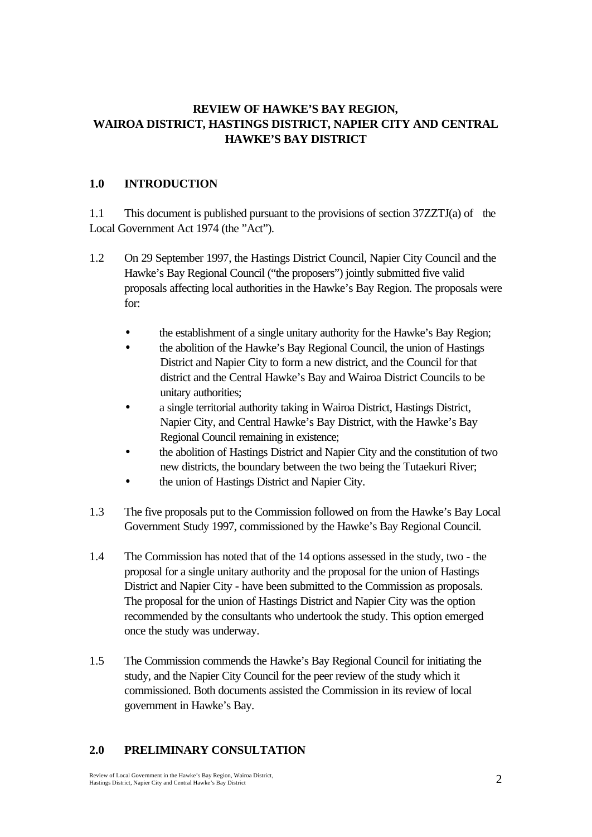### **REVIEW OF HAWKE'S BAY REGION, WAIROA DISTRICT, HASTINGS DISTRICT, NAPIER CITY AND CENTRAL HAWKE'S BAY DISTRICT**

### **1.0 INTRODUCTION**

1.1 This document is published pursuant to the provisions of section 37ZZTJ(a) of the Local Government Act 1974 (the "Act").

- 1.2 On 29 September 1997, the Hastings District Council, Napier City Council and the Hawke's Bay Regional Council ("the proposers") jointly submitted five valid proposals affecting local authorities in the Hawke's Bay Region. The proposals were for:
	- the establishment of a single unitary authority for the Hawke's Bay Region;
	- the abolition of the Hawke's Bay Regional Council, the union of Hastings District and Napier City to form a new district, and the Council for that district and the Central Hawke's Bay and Wairoa District Councils to be unitary authorities;
	- a single territorial authority taking in Wairoa District, Hastings District, Napier City, and Central Hawke's Bay District, with the Hawke's Bay Regional Council remaining in existence;
	- the abolition of Hastings District and Napier City and the constitution of two new districts, the boundary between the two being the Tutaekuri River;
	- the union of Hastings District and Napier City.
- 1.3 The five proposals put to the Commission followed on from the Hawke's Bay Local Government Study 1997, commissioned by the Hawke's Bay Regional Council.
- 1.4 The Commission has noted that of the 14 options assessed in the study, two the proposal for a single unitary authority and the proposal for the union of Hastings District and Napier City - have been submitted to the Commission as proposals. The proposal for the union of Hastings District and Napier City was the option recommended by the consultants who undertook the study. This option emerged once the study was underway.
- 1.5 The Commission commends the Hawke's Bay Regional Council for initiating the study, and the Napier City Council for the peer review of the study which it commissioned. Both documents assisted the Commission in its review of local government in Hawke's Bay.

# **2.0 PRELIMINARY CONSULTATION**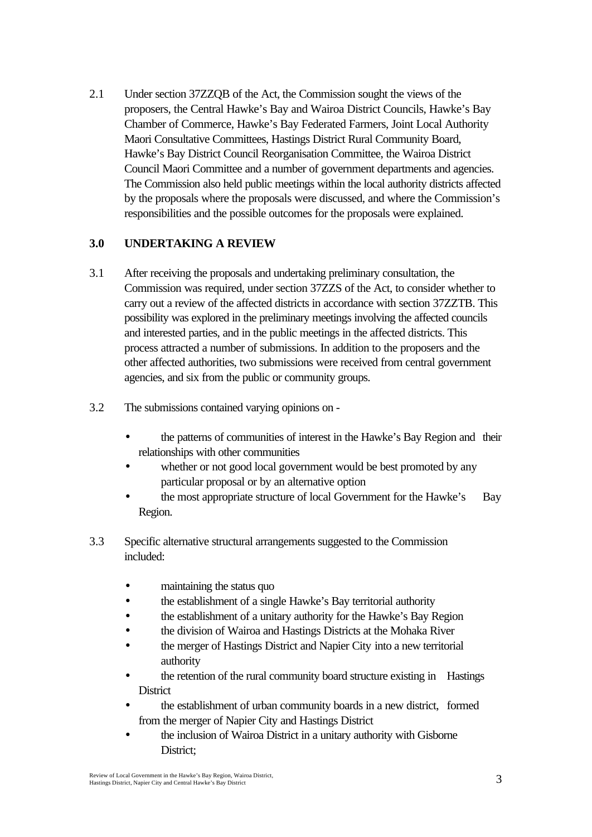2.1 Under section 37ZZQB of the Act, the Commission sought the views of the proposers, the Central Hawke's Bay and Wairoa District Councils, Hawke's Bay Chamber of Commerce, Hawke's Bay Federated Farmers, Joint Local Authority Maori Consultative Committees, Hastings District Rural Community Board, Hawke's Bay District Council Reorganisation Committee, the Wairoa District Council Maori Committee and a number of government departments and agencies. The Commission also held public meetings within the local authority districts affected by the proposals where the proposals were discussed, and where the Commission's responsibilities and the possible outcomes for the proposals were explained.

### **3.0 UNDERTAKING A REVIEW**

- 3.1 After receiving the proposals and undertaking preliminary consultation, the Commission was required, under section 37ZZS of the Act, to consider whether to carry out a review of the affected districts in accordance with section 37ZZTB. This possibility was explored in the preliminary meetings involving the affected councils and interested parties, and in the public meetings in the affected districts. This process attracted a number of submissions. In addition to the proposers and the other affected authorities, two submissions were received from central government agencies, and six from the public or community groups.
- 3.2 The submissions contained varying opinions on
	- the patterns of communities of interest in the Hawke's Bay Region and their relationships with other communities
	- whether or not good local government would be best promoted by any particular proposal or by an alternative option
	- the most appropriate structure of local Government for the Hawke's Bay Region.
- 3.3 Specific alternative structural arrangements suggested to the Commission included:
	- maintaining the status quo
	- the establishment of a single Hawke's Bay territorial authority
	- the establishment of a unitary authority for the Hawke's Bay Region
	- the division of Wairoa and Hastings Districts at the Mohaka River
	- the merger of Hastings District and Napier City into a new territorial authority
	- the retention of the rural community board structure existing in Hastings **District**
	- the establishment of urban community boards in a new district, formed from the merger of Napier City and Hastings District
	- the inclusion of Wairoa District in a unitary authority with Gisborne District;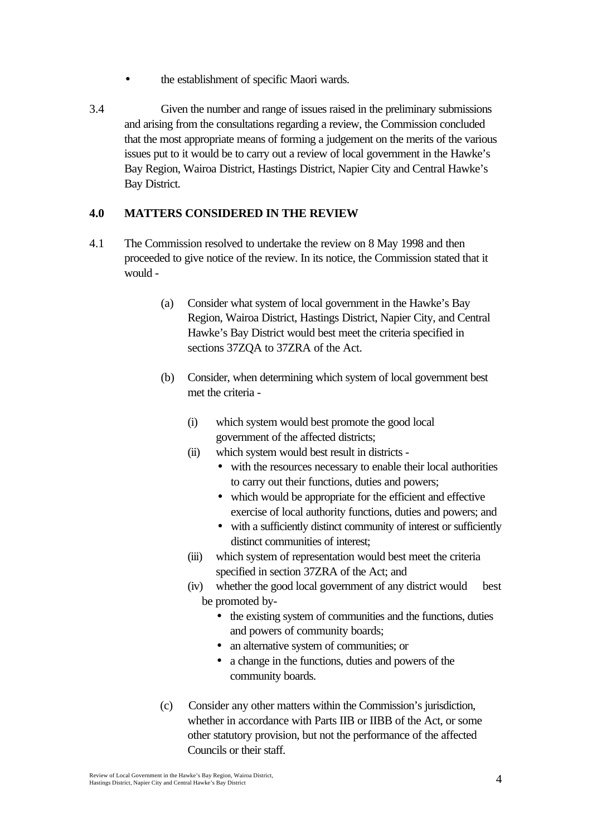- the establishment of specific Maori wards.
- 3.4 Given the number and range of issues raised in the preliminary submissions and arising from the consultations regarding a review, the Commission concluded that the most appropriate means of forming a judgement on the merits of the various issues put to it would be to carry out a review of local government in the Hawke's Bay Region, Wairoa District, Hastings District, Napier City and Central Hawke's Bay District.

#### **4.0 MATTERS CONSIDERED IN THE REVIEW**

- 4.1 The Commission resolved to undertake the review on 8 May 1998 and then proceeded to give notice of the review. In its notice, the Commission stated that it would -
	- (a) Consider what system of local government in the Hawke's Bay Region, Wairoa District, Hastings District, Napier City, and Central Hawke's Bay District would best meet the criteria specified in sections 37ZQA to 37ZRA of the Act.
	- (b) Consider, when determining which system of local government best met the criteria -
		- (i) which system would best promote the good local government of the affected districts;
		- (ii) which system would best result in districts
			- with the resources necessary to enable their local authorities to carry out their functions, duties and powers;
			- which would be appropriate for the efficient and effective exercise of local authority functions, duties and powers; and
			- with a sufficiently distinct community of interest or sufficiently distinct communities of interest;
		- (iii) which system of representation would best meet the criteria specified in section 37ZRA of the Act; and
		- (iv) whether the good local government of any district would best be promoted by-
			- the existing system of communities and the functions, duties and powers of community boards;
			- an alternative system of communities; or
			- a change in the functions, duties and powers of the community boards.
	- (c) Consider any other matters within the Commission's jurisdiction, whether in accordance with Parts IIB or IIBB of the Act, or some other statutory provision, but not the performance of the affected Councils or their staff.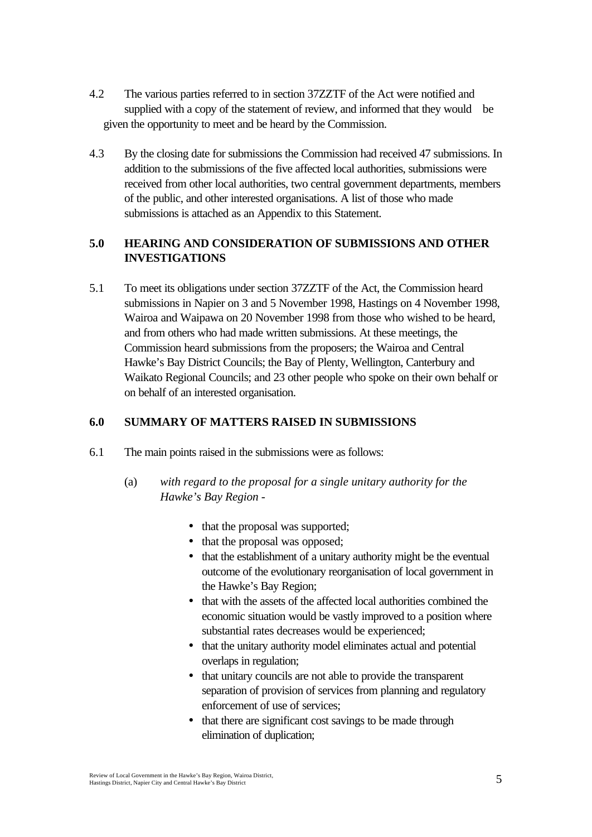- 4.2 The various parties referred to in section 37ZZTF of the Act were notified and supplied with a copy of the statement of review, and informed that they would be given the opportunity to meet and be heard by the Commission.
- 4.3 By the closing date for submissions the Commission had received 47 submissions. In addition to the submissions of the five affected local authorities, submissions were received from other local authorities, two central government departments, members of the public, and other interested organisations. A list of those who made submissions is attached as an Appendix to this Statement.

### **5.0 HEARING AND CONSIDERATION OF SUBMISSIONS AND OTHER INVESTIGATIONS**

5.1 To meet its obligations under section 37ZZTF of the Act, the Commission heard submissions in Napier on 3 and 5 November 1998, Hastings on 4 November 1998, Wairoa and Waipawa on 20 November 1998 from those who wished to be heard, and from others who had made written submissions. At these meetings, the Commission heard submissions from the proposers; the Wairoa and Central Hawke's Bay District Councils; the Bay of Plenty, Wellington, Canterbury and Waikato Regional Councils; and 23 other people who spoke on their own behalf or on behalf of an interested organisation.

#### **6.0 SUMMARY OF MATTERS RAISED IN SUBMISSIONS**

- 6.1 The main points raised in the submissions were as follows:
	- (a) *with regard to the proposal for a single unitary authority for the Hawke's Bay Region* -
		- **·** that the proposal was supported;
		- **·** that the proposal was opposed;
		- **·** that the establishment of a unitary authority might be the eventual outcome of the evolutionary reorganisation of local government in the Hawke's Bay Region;
		- **·** that with the assets of the affected local authorities combined the economic situation would be vastly improved to a position where substantial rates decreases would be experienced;
		- **·** that the unitary authority model eliminates actual and potential overlaps in regulation;
		- **·** that unitary councils are not able to provide the transparent separation of provision of services from planning and regulatory enforcement of use of services;
		- **·** that there are significant cost savings to be made through elimination of duplication;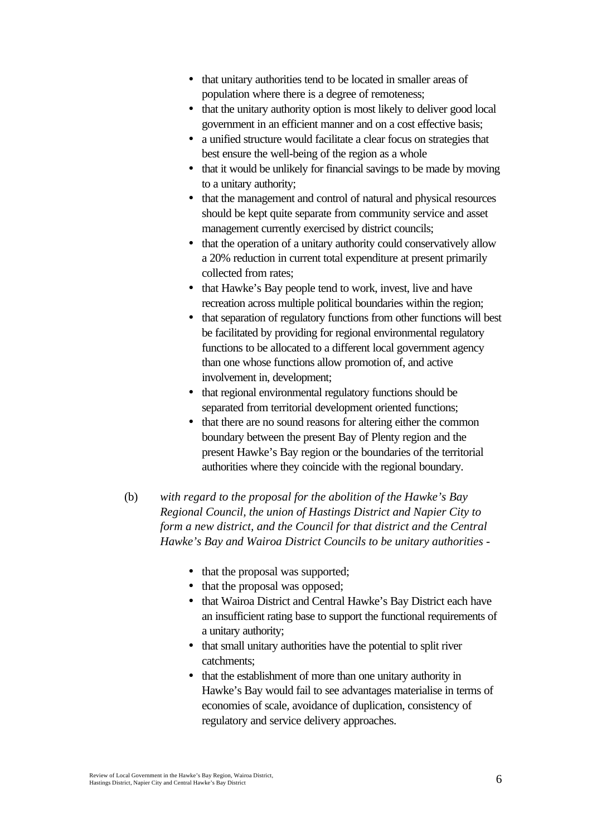- **·** that unitary authorities tend to be located in smaller areas of population where there is a degree of remoteness;
- **·** that the unitary authority option is most likely to deliver good local government in an efficient manner and on a cost effective basis;
- **·** a unified structure would facilitate a clear focus on strategies that best ensure the well-being of the region as a whole
- **·** that it would be unlikely for financial savings to be made by moving to a unitary authority;
- **·** that the management and control of natural and physical resources should be kept quite separate from community service and asset management currently exercised by district councils;
- that the operation of a unitary authority could conservatively allow a 20% reduction in current total expenditure at present primarily collected from rates;
- **·** that Hawke's Bay people tend to work, invest, live and have recreation across multiple political boundaries within the region;
- **·** that separation of regulatory functions from other functions will best be facilitated by providing for regional environmental regulatory functions to be allocated to a different local government agency than one whose functions allow promotion of, and active involvement in, development;
- **·** that regional environmental regulatory functions should be separated from territorial development oriented functions;
- **·** that there are no sound reasons for altering either the common boundary between the present Bay of Plenty region and the present Hawke's Bay region or the boundaries of the territorial authorities where they coincide with the regional boundary.
- (b) *with regard to the proposal for the abolition of the Hawke's Bay Regional Council, the union of Hastings District and Napier City to form a new district, and the Council for that district and the Central Hawke's Bay and Wairoa District Councils to be unitary authorities -*
	- that the proposal was supported;
	- that the proposal was opposed;
	- that Wairoa District and Central Hawke's Bay District each have an insufficient rating base to support the functional requirements of a unitary authority;
	- that small unitary authorities have the potential to split river catchments;
	- that the establishment of more than one unitary authority in Hawke's Bay would fail to see advantages materialise in terms of economies of scale, avoidance of duplication, consistency of regulatory and service delivery approaches.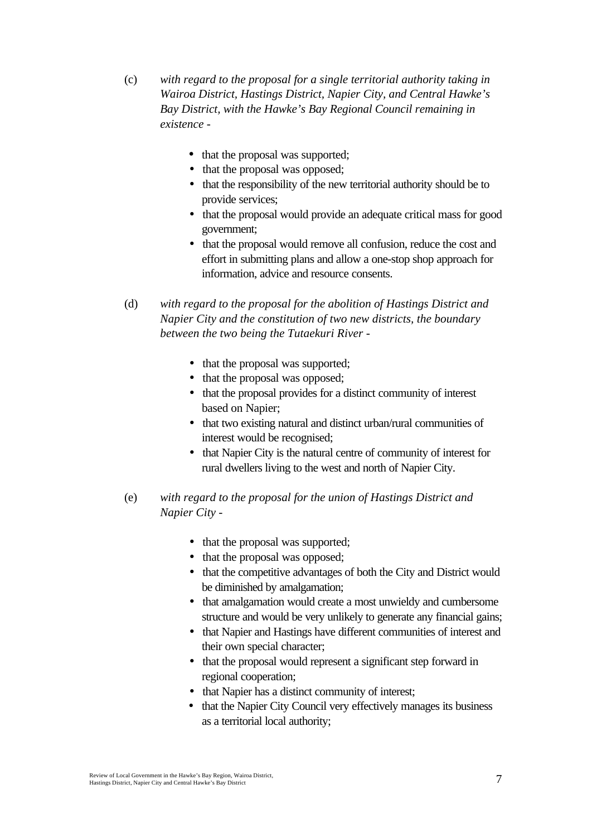- (c) *with regard to the proposal for a single territorial authority taking in Wairoa District, Hastings District, Napier City, and Central Hawke's Bay District, with the Hawke's Bay Regional Council remaining in existence -*
	- that the proposal was supported;
	- that the proposal was opposed;
	- that the responsibility of the new territorial authority should be to provide services;
	- that the proposal would provide an adequate critical mass for good government;
	- that the proposal would remove all confusion, reduce the cost and effort in submitting plans and allow a one-stop shop approach for information, advice and resource consents.
- (d) *with regard to the proposal for the abolition of Hastings District and Napier City and the constitution of two new districts, the boundary between the two being the Tutaekuri River -*
	- that the proposal was supported;
	- that the proposal was opposed;
	- that the proposal provides for a distinct community of interest based on Napier;
	- that two existing natural and distinct urban/rural communities of interest would be recognised;
	- that Napier City is the natural centre of community of interest for rural dwellers living to the west and north of Napier City.

### (e) *with regard to the proposal for the union of Hastings District and Napier City -*

- that the proposal was supported;
- that the proposal was opposed;
- that the competitive advantages of both the City and District would be diminished by amalgamation;
- that amalgamation would create a most unwieldy and cumbersome structure and would be very unlikely to generate any financial gains;
- that Napier and Hastings have different communities of interest and their own special character;
- that the proposal would represent a significant step forward in regional cooperation;
- that Napier has a distinct community of interest;
- that the Napier City Council very effectively manages its business as a territorial local authority;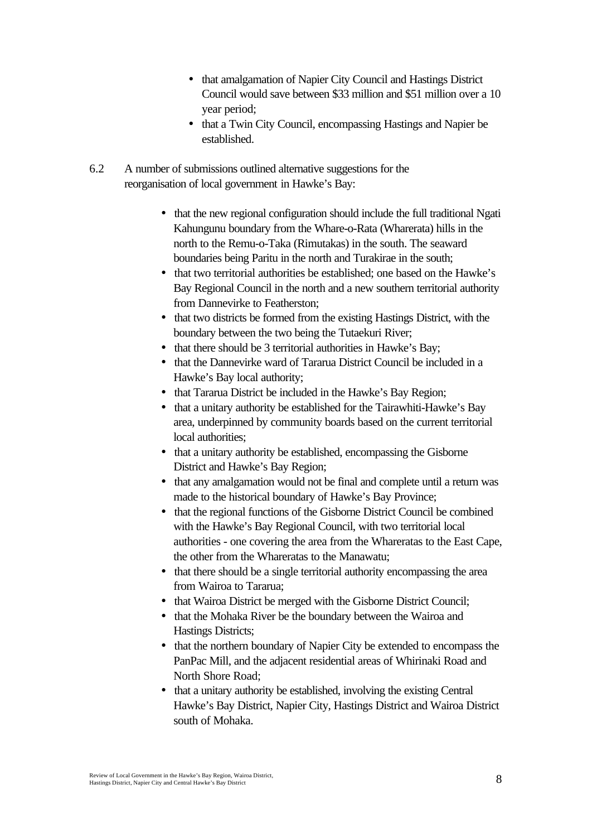- that amalgamation of Napier City Council and Hastings District Council would save between \$33 million and \$51 million over a 10 year period;
- that a Twin City Council, encompassing Hastings and Napier be established.
- 6.2 A number of submissions outlined alternative suggestions for the reorganisation of local government in Hawke's Bay:
	- that the new regional configuration should include the full traditional Ngati Kahungunu boundary from the Whare-o-Rata (Wharerata) hills in the north to the Remu-o-Taka (Rimutakas) in the south. The seaward boundaries being Paritu in the north and Turakirae in the south;
	- that two territorial authorities be established; one based on the Hawke's Bay Regional Council in the north and a new southern territorial authority from Dannevirke to Featherston;
	- that two districts be formed from the existing Hastings District, with the boundary between the two being the Tutaekuri River;
	- that there should be 3 territorial authorities in Hawke's Bay;
	- that the Dannevirke ward of Tararua District Council be included in a Hawke's Bay local authority;
	- that Tararua District be included in the Hawke's Bay Region;
	- that a unitary authority be established for the Tairawhiti-Hawke's Bay area, underpinned by community boards based on the current territorial local authorities;
	- that a unitary authority be established, encompassing the Gisborne District and Hawke's Bay Region;
	- that any amalgamation would not be final and complete until a return was made to the historical boundary of Hawke's Bay Province;
	- that the regional functions of the Gisborne District Council be combined with the Hawke's Bay Regional Council, with two territorial local authorities - one covering the area from the Whareratas to the East Cape, the other from the Whareratas to the Manawatu;
	- that there should be a single territorial authority encompassing the area from Wairoa to Tararua;
	- that Wairoa District be merged with the Gisborne District Council;
	- that the Mohaka River be the boundary between the Wairoa and Hastings Districts;
	- that the northern boundary of Napier City be extended to encompass the PanPac Mill, and the adjacent residential areas of Whirinaki Road and North Shore Road;
	- that a unitary authority be established, involving the existing Central Hawke's Bay District, Napier City, Hastings District and Wairoa District south of Mohaka.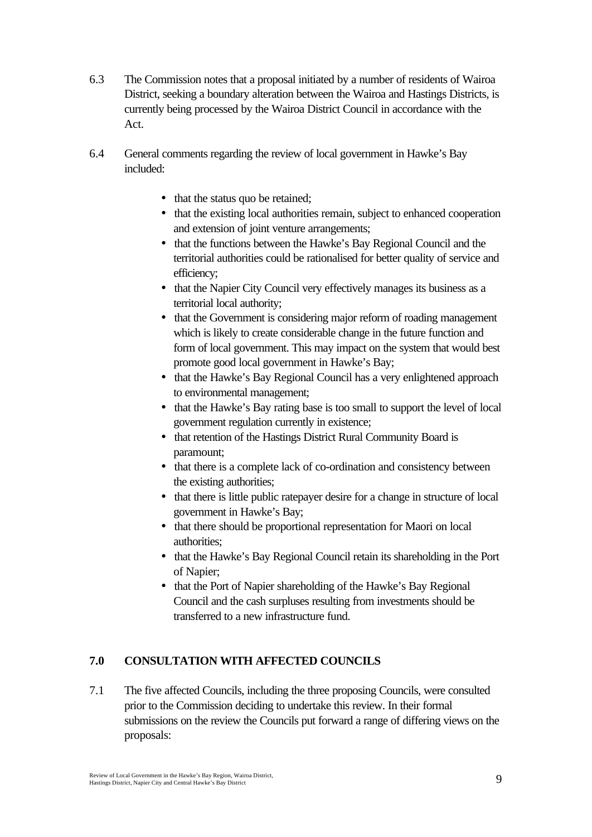- 6.3 The Commission notes that a proposal initiated by a number of residents of Wairoa District, seeking a boundary alteration between the Wairoa and Hastings Districts, is currently being processed by the Wairoa District Council in accordance with the Act.
- 6.4 General comments regarding the review of local government in Hawke's Bay included:
	- that the status quo be retained;
	- that the existing local authorities remain, subject to enhanced cooperation and extension of joint venture arrangements;
	- that the functions between the Hawke's Bay Regional Council and the territorial authorities could be rationalised for better quality of service and efficiency;
	- that the Napier City Council very effectively manages its business as a territorial local authority;
	- that the Government is considering major reform of roading management which is likely to create considerable change in the future function and form of local government. This may impact on the system that would best promote good local government in Hawke's Bay;
	- that the Hawke's Bay Regional Council has a very enlightened approach to environmental management;
	- that the Hawke's Bay rating base is too small to support the level of local government regulation currently in existence;
	- that retention of the Hastings District Rural Community Board is paramount;
	- that there is a complete lack of co-ordination and consistency between the existing authorities;
	- that there is little public ratepayer desire for a change in structure of local government in Hawke's Bay;
	- that there should be proportional representation for Maori on local authorities;
	- that the Hawke's Bay Regional Council retain its shareholding in the Port of Napier;
	- **·** that the Port of Napier shareholding of the Hawke's Bay Regional Council and the cash surpluses resulting from investments should be transferred to a new infrastructure fund.

# **7.0 CONSULTATION WITH AFFECTED COUNCILS**

7.1 The five affected Councils, including the three proposing Councils, were consulted prior to the Commission deciding to undertake this review. In their formal submissions on the review the Councils put forward a range of differing views on the proposals: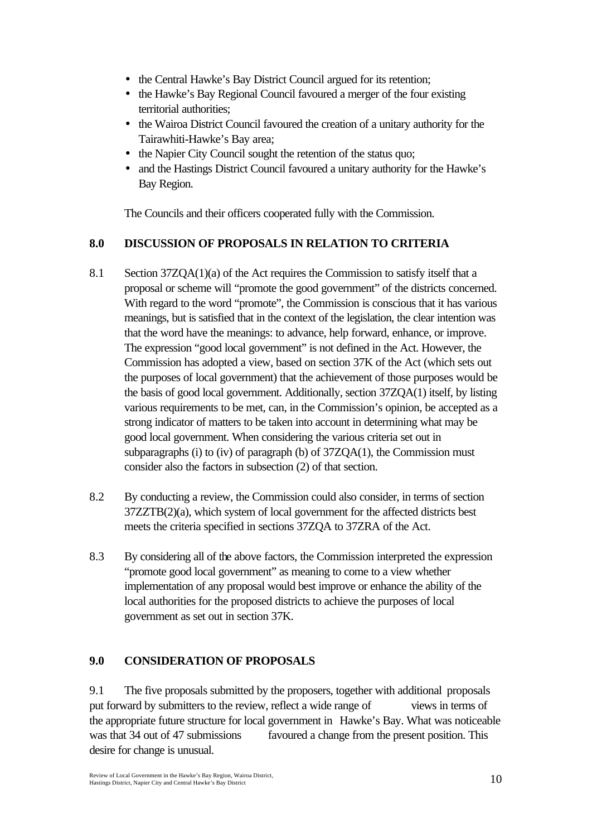- the Central Hawke's Bay District Council argued for its retention;
- the Hawke's Bay Regional Council favoured a merger of the four existing territorial authorities;
- the Wairoa District Council favoured the creation of a unitary authority for the Tairawhiti-Hawke's Bay area;
- the Napier City Council sought the retention of the status quo;
- and the Hastings District Council favoured a unitary authority for the Hawke's Bay Region.

The Councils and their officers cooperated fully with the Commission.

# **8.0 DISCUSSION OF PROPOSALS IN RELATION TO CRITERIA**

- 8.1 Section 37ZQA(1)(a) of the Act requires the Commission to satisfy itself that a proposal or scheme will "promote the good government" of the districts concerned. With regard to the word "promote", the Commission is conscious that it has various meanings, but is satisfied that in the context of the legislation, the clear intention was that the word have the meanings: to advance, help forward, enhance, or improve. The expression "good local government" is not defined in the Act. However, the Commission has adopted a view, based on section 37K of the Act (which sets out the purposes of local government) that the achievement of those purposes would be the basis of good local government. Additionally, section 37ZQA(1) itself, by listing various requirements to be met, can, in the Commission's opinion, be accepted as a strong indicator of matters to be taken into account in determining what may be good local government. When considering the various criteria set out in subparagraphs (i) to (iv) of paragraph (b) of  $37ZOA(1)$ , the Commission must consider also the factors in subsection (2) of that section.
- 8.2 By conducting a review, the Commission could also consider, in terms of section 37ZZTB(2)(a), which system of local government for the affected districts best meets the criteria specified in sections 37ZQA to 37ZRA of the Act.
- 8.3 By considering all of the above factors, the Commission interpreted the expression "promote good local government" as meaning to come to a view whether implementation of any proposal would best improve or enhance the ability of the local authorities for the proposed districts to achieve the purposes of local government as set out in section 37K.

# **9.0 CONSIDERATION OF PROPOSALS**

9.1 The five proposals submitted by the proposers, together with additional proposals put forward by submitters to the review, reflect a wide range of views in terms of the appropriate future structure for local government in Hawke's Bay. What was noticeable was that 34 out of 47 submissions favoured a change from the present position. This desire for change is unusual.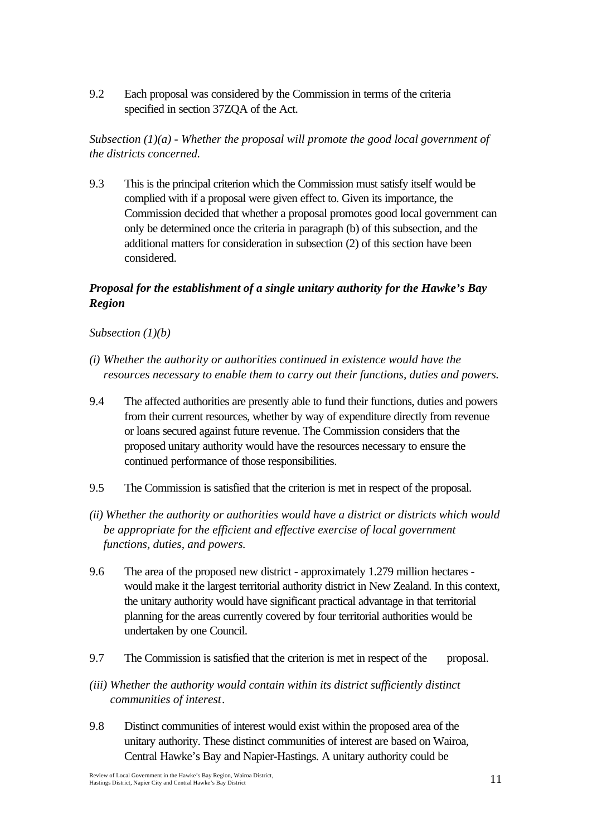9.2 Each proposal was considered by the Commission in terms of the criteria specified in section 37ZQA of the Act.

# *Subsection (1)(a) - Whether the proposal will promote the good local government of the districts concerned.*

9.3 This is the principal criterion which the Commission must satisfy itself would be complied with if a proposal were given effect to. Given its importance, the Commission decided that whether a proposal promotes good local government can only be determined once the criteria in paragraph (b) of this subsection, and the additional matters for consideration in subsection (2) of this section have been considered.

# *Proposal for the establishment of a single unitary authority for the Hawke's Bay Region*

- *(i) Whether the authority or authorities continued in existence would have the resources necessary to enable them to carry out their functions, duties and powers.*
- 9.4 The affected authorities are presently able to fund their functions, duties and powers from their current resources, whether by way of expenditure directly from revenue or loans secured against future revenue. The Commission considers that the proposed unitary authority would have the resources necessary to ensure the continued performance of those responsibilities.
- 9.5 The Commission is satisfied that the criterion is met in respect of the proposal.
- *(ii) Whether the authority or authorities would have a district or districts which would be appropriate for the efficient and effective exercise of local government functions, duties, and powers.*
- 9.6 The area of the proposed new district approximately 1.279 million hectares would make it the largest territorial authority district in New Zealand. In this context, the unitary authority would have significant practical advantage in that territorial planning for the areas currently covered by four territorial authorities would be undertaken by one Council.
- 9.7 The Commission is satisfied that the criterion is met in respect of the proposal.
- *(iii) Whether the authority would contain within its district sufficiently distinct communities of interest*.
- 9.8 Distinct communities of interest would exist within the proposed area of the unitary authority. These distinct communities of interest are based on Wairoa, Central Hawke's Bay and Napier-Hastings. A unitary authority could be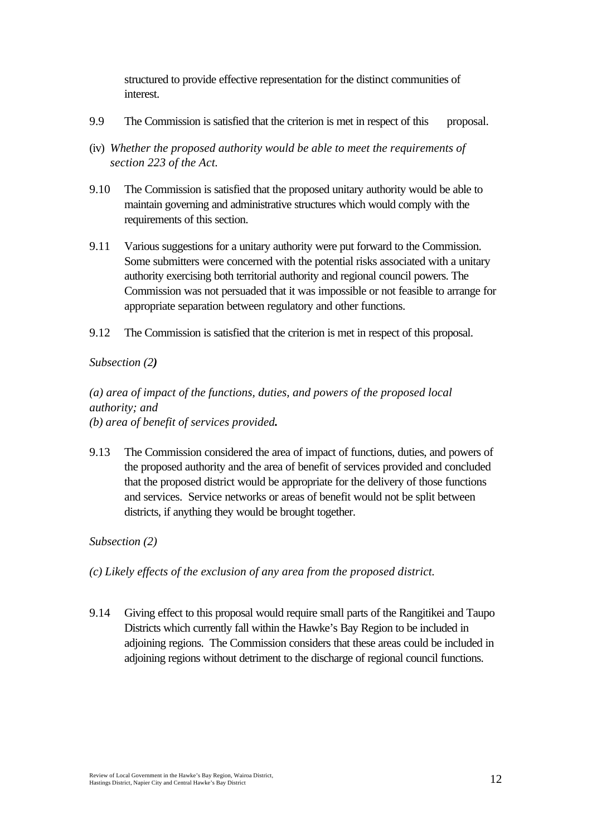structured to provide effective representation for the distinct communities of interest.

- 9.9 The Commission is satisfied that the criterion is met in respect of this proposal.
- (iv) *Whether the proposed authority would be able to meet the requirements of section 223 of the Act.*
- 9.10 The Commission is satisfied that the proposed unitary authority would be able to maintain governing and administrative structures which would comply with the requirements of this section.
- 9.11 Various suggestions for a unitary authority were put forward to the Commission. Some submitters were concerned with the potential risks associated with a unitary authority exercising both territorial authority and regional council powers. The Commission was not persuaded that it was impossible or not feasible to arrange for appropriate separation between regulatory and other functions.
- 9.12 The Commission is satisfied that the criterion is met in respect of this proposal.

### *Subsection (2)*

*(a) area of impact of the functions, duties, and powers of the proposed local authority; and (b) area of benefit of services provided.*

9.13 The Commission considered the area of impact of functions, duties, and powers of the proposed authority and the area of benefit of services provided and concluded that the proposed district would be appropriate for the delivery of those functions and services. Service networks or areas of benefit would not be split between districts, if anything they would be brought together.

# *Subsection (2)*

- *(c) Likely effects of the exclusion of any area from the proposed district.*
- 9.14 Giving effect to this proposal would require small parts of the Rangitikei and Taupo Districts which currently fall within the Hawke's Bay Region to be included in adjoining regions. The Commission considers that these areas could be included in adjoining regions without detriment to the discharge of regional council functions.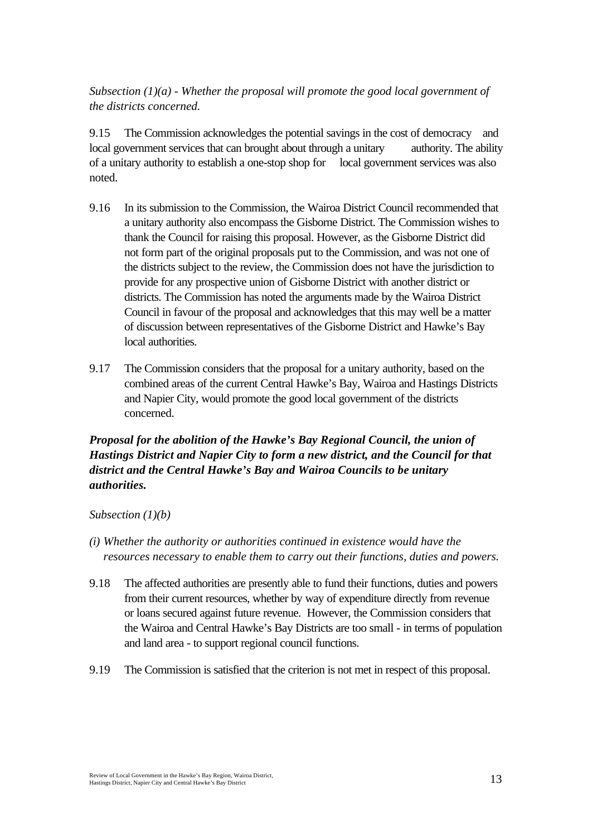*Subsection (1)(a) - Whether the proposal will promote the good local government of the districts concerned.*

9.15 The Commission acknowledges the potential savings in the cost of democracy and local government services that can brought about through a unitary authority. The ability of a unitary authority to establish a one-stop shop for local government services was also noted.

- 9.16 In its submission to the Commission, the Wairoa District Council recommended that a unitary authority also encompass the Gisborne District. The Commission wishes to thank the Council for raising this proposal. However, as the Gisborne District did not form part of the original proposals put to the Commission, and was not one of the districts subject to the review, the Commission does not have the jurisdiction to provide for any prospective union of Gisborne District with another district or districts. The Commission has noted the arguments made by the Wairoa District Council in favour of the proposal and acknowledges that this may well be a matter of discussion between representatives of the Gisborne District and Hawke's Bay local authorities.
- 9.17 The Commission considers that the proposal for a unitary authority, based on the combined areas of the current Central Hawke's Bay, Wairoa and Hastings Districts and Napier City, would promote the good local government of the districts concerned.

# *Proposal for the abolition of the Hawke's Bay Regional Council, the union of Hastings District and Napier City to form a new district, and the Council for that district and the Central Hawke's Bay and Wairoa Councils to be unitary authorities.*

- *(i) Whether the authority or authorities continued in existence would have the resources necessary to enable them to carry out their functions, duties and powers.*
- 9.18 The affected authorities are presently able to fund their functions, duties and powers from their current resources, whether by way of expenditure directly from revenue or loans secured against future revenue. However, the Commission considers that the Wairoa and Central Hawke's Bay Districts are too small - in terms of population and land area - to support regional council functions.
- 9.19 The Commission is satisfied that the criterion is not met in respect of this proposal.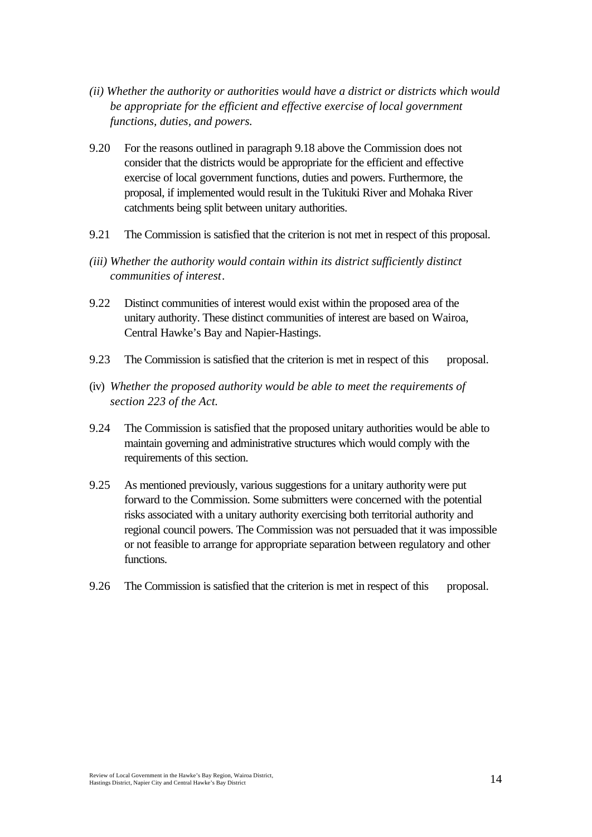- *(ii) Whether the authority or authorities would have a district or districts which would be appropriate for the efficient and effective exercise of local government functions, duties, and powers.*
- 9.20 For the reasons outlined in paragraph 9.18 above the Commission does not consider that the districts would be appropriate for the efficient and effective exercise of local government functions, duties and powers. Furthermore, the proposal, if implemented would result in the Tukituki River and Mohaka River catchments being split between unitary authorities.
- 9.21 The Commission is satisfied that the criterion is not met in respect of this proposal.
- *(iii) Whether the authority would contain within its district sufficiently distinct communities of interest*.
- 9.22 Distinct communities of interest would exist within the proposed area of the unitary authority. These distinct communities of interest are based on Wairoa, Central Hawke's Bay and Napier-Hastings.
- 9.23 The Commission is satisfied that the criterion is met in respect of this proposal.
- (iv) *Whether the proposed authority would be able to meet the requirements of section 223 of the Act.*
- 9.24 The Commission is satisfied that the proposed unitary authorities would be able to maintain governing and administrative structures which would comply with the requirements of this section.
- 9.25 As mentioned previously, various suggestions for a unitary authority were put forward to the Commission. Some submitters were concerned with the potential risks associated with a unitary authority exercising both territorial authority and regional council powers. The Commission was not persuaded that it was impossible or not feasible to arrange for appropriate separation between regulatory and other functions.
- 9.26 The Commission is satisfied that the criterion is met in respect of this proposal.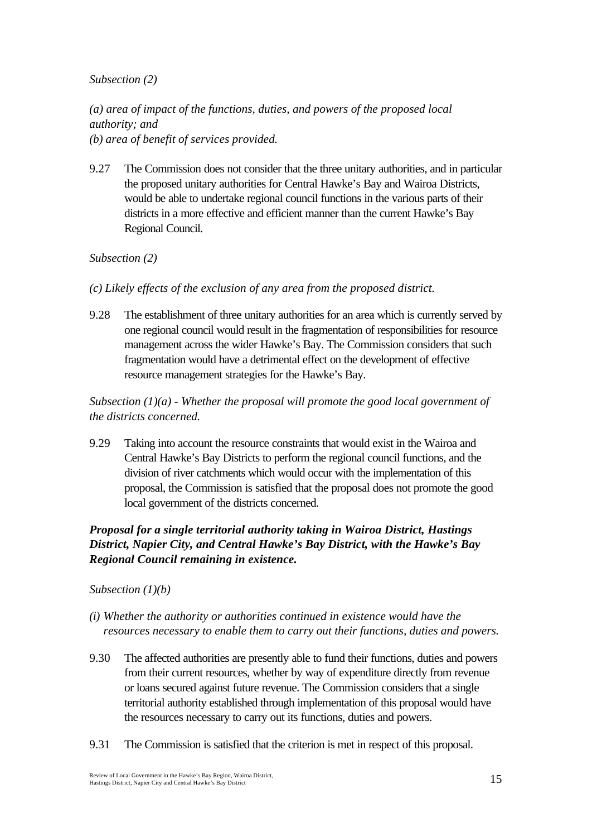*(a) area of impact of the functions, duties, and powers of the proposed local authority; and (b) area of benefit of services provided.*

9.27 The Commission does not consider that the three unitary authorities, and in particular the proposed unitary authorities for Central Hawke's Bay and Wairoa Districts, would be able to undertake regional council functions in the various parts of their districts in a more effective and efficient manner than the current Hawke's Bay Regional Council.

### *Subsection (2)*

- *(c) Likely effects of the exclusion of any area from the proposed district.*
- 9.28 The establishment of three unitary authorities for an area which is currently served by one regional council would result in the fragmentation of responsibilities for resource management across the wider Hawke's Bay. The Commission considers that such fragmentation would have a detrimental effect on the development of effective resource management strategies for the Hawke's Bay.

*Subsection (1)(a) - Whether the proposal will promote the good local government of the districts concerned.*

9.29 Taking into account the resource constraints that would exist in the Wairoa and Central Hawke's Bay Districts to perform the regional council functions, and the division of river catchments which would occur with the implementation of this proposal, the Commission is satisfied that the proposal does not promote the good local government of the districts concerned.

# *Proposal for a single territorial authority taking in Wairoa District, Hastings District, Napier City, and Central Hawke's Bay District, with the Hawke's Bay Regional Council remaining in existence.*

- *(i) Whether the authority or authorities continued in existence would have the resources necessary to enable them to carry out their functions, duties and powers.*
- 9.30 The affected authorities are presently able to fund their functions, duties and powers from their current resources, whether by way of expenditure directly from revenue or loans secured against future revenue. The Commission considers that a single territorial authority established through implementation of this proposal would have the resources necessary to carry out its functions, duties and powers.
- 9.31 The Commission is satisfied that the criterion is met in respect of this proposal.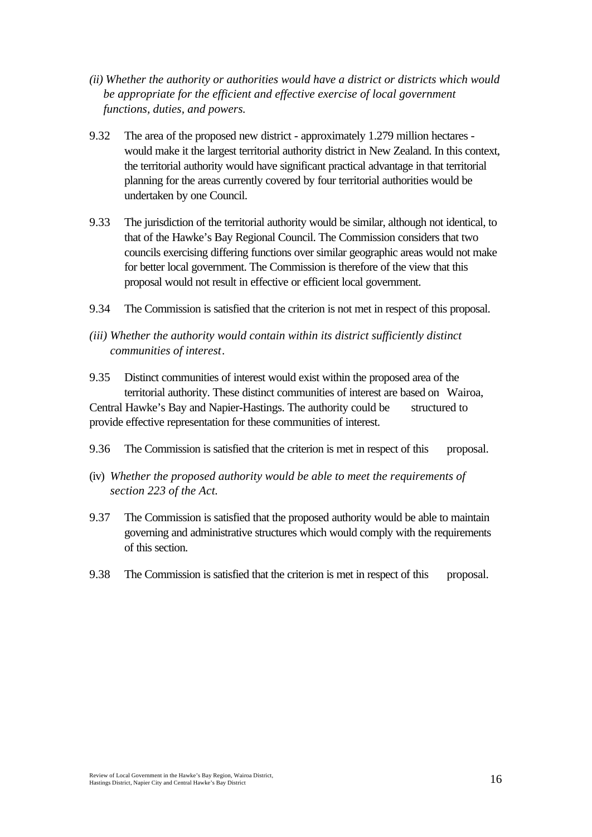- *(ii) Whether the authority or authorities would have a district or districts which would be appropriate for the efficient and effective exercise of local government functions, duties, and powers.*
- 9.32 The area of the proposed new district approximately 1.279 million hectares would make it the largest territorial authority district in New Zealand. In this context, the territorial authority would have significant practical advantage in that territorial planning for the areas currently covered by four territorial authorities would be undertaken by one Council.
- 9.33 The jurisdiction of the territorial authority would be similar, although not identical, to that of the Hawke's Bay Regional Council. The Commission considers that two councils exercising differing functions over similar geographic areas would not make for better local government. The Commission is therefore of the view that this proposal would not result in effective or efficient local government.
- 9.34 The Commission is satisfied that the criterion is not met in respect of this proposal.
- *(iii) Whether the authority would contain within its district sufficiently distinct communities of interest*.
- 9.35 Distinct communities of interest would exist within the proposed area of the territorial authority. These distinct communities of interest are based on Wairoa, Central Hawke's Bay and Napier-Hastings. The authority could be structured to provide effective representation for these communities of interest.
- 9.36 The Commission is satisfied that the criterion is met in respect of this proposal.
- (iv) *Whether the proposed authority would be able to meet the requirements of section 223 of the Act.*
- 9.37 The Commission is satisfied that the proposed authority would be able to maintain governing and administrative structures which would comply with the requirements of this section.
- 9.38 The Commission is satisfied that the criterion is met in respect of this proposal.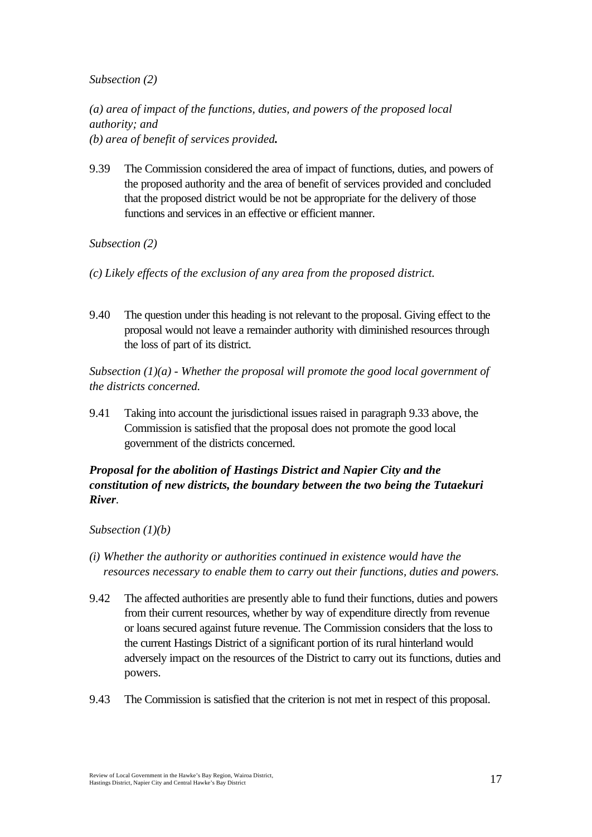*(a) area of impact of the functions, duties, and powers of the proposed local authority; and (b) area of benefit of services provided.*

9.39 The Commission considered the area of impact of functions, duties, and powers of the proposed authority and the area of benefit of services provided and concluded that the proposed district would be not be appropriate for the delivery of those functions and services in an effective or efficient manner.

#### *Subsection (2)*

- *(c) Likely effects of the exclusion of any area from the proposed district.*
- 9.40 The question under this heading is not relevant to the proposal. Giving effect to the proposal would not leave a remainder authority with diminished resources through the loss of part of its district.

*Subsection (1)(a) - Whether the proposal will promote the good local government of the districts concerned.*

9.41 Taking into account the jurisdictional issues raised in paragraph 9.33 above, the Commission is satisfied that the proposal does not promote the good local government of the districts concerned.

#### *Proposal for the abolition of Hastings District and Napier City and the constitution of new districts, the boundary between the two being the Tutaekuri River.*

- *(i) Whether the authority or authorities continued in existence would have the resources necessary to enable them to carry out their functions, duties and powers.*
- 9.42 The affected authorities are presently able to fund their functions, duties and powers from their current resources, whether by way of expenditure directly from revenue or loans secured against future revenue. The Commission considers that the loss to the current Hastings District of a significant portion of its rural hinterland would adversely impact on the resources of the District to carry out its functions, duties and powers.
- 9.43 The Commission is satisfied that the criterion is not met in respect of this proposal.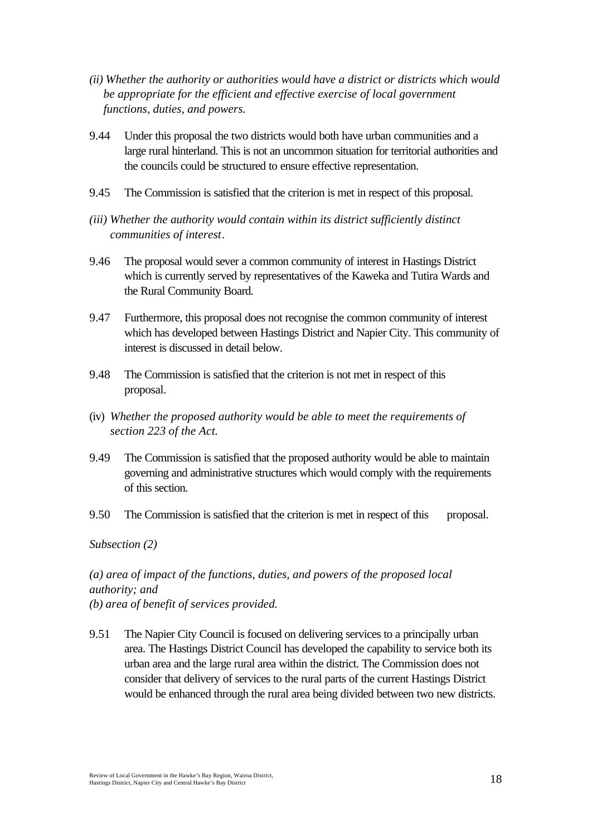- *(ii) Whether the authority or authorities would have a district or districts which would be appropriate for the efficient and effective exercise of local government functions, duties, and powers.*
- 9.44 Under this proposal the two districts would both have urban communities and a large rural hinterland. This is not an uncommon situation for territorial authorities and the councils could be structured to ensure effective representation.
- 9.45 The Commission is satisfied that the criterion is met in respect of this proposal.
- *(iii) Whether the authority would contain within its district sufficiently distinct communities of interest*.
- 9.46 The proposal would sever a common community of interest in Hastings District which is currently served by representatives of the Kaweka and Tutira Wards and the Rural Community Board.
- 9.47 Furthermore, this proposal does not recognise the common community of interest which has developed between Hastings District and Napier City. This community of interest is discussed in detail below.
- 9.48 The Commission is satisfied that the criterion is not met in respect of this proposal.
- (iv) *Whether the proposed authority would be able to meet the requirements of section 223 of the Act.*
- 9.49 The Commission is satisfied that the proposed authority would be able to maintain governing and administrative structures which would comply with the requirements of this section.
- 9.50 The Commission is satisfied that the criterion is met in respect of this proposal.

# *(a) area of impact of the functions, duties, and powers of the proposed local authority; and*

*(b) area of benefit of services provided.*

9.51 The Napier City Council is focused on delivering services to a principally urban area. The Hastings District Council has developed the capability to service both its urban area and the large rural area within the district. The Commission does not consider that delivery of services to the rural parts of the current Hastings District would be enhanced through the rural area being divided between two new districts.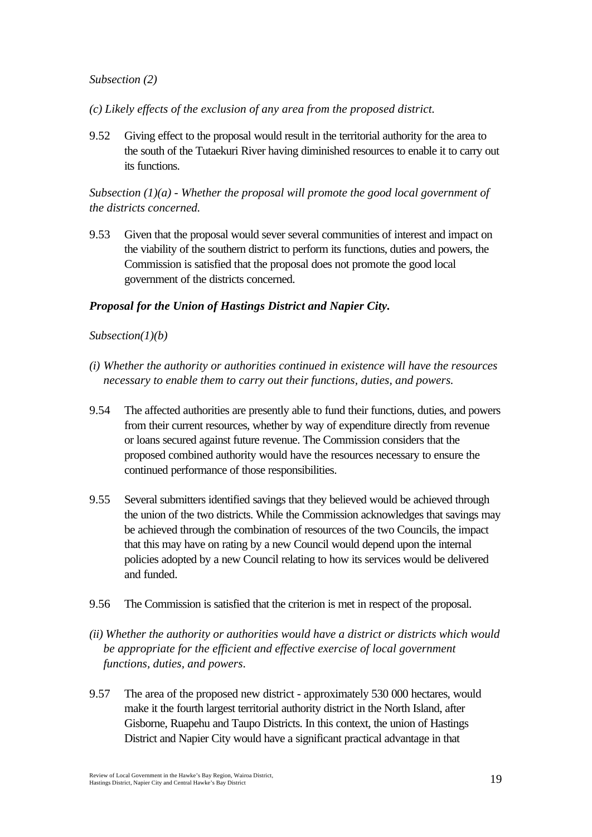- *(c) Likely effects of the exclusion of any area from the proposed district.*
- 9.52 Giving effect to the proposal would result in the territorial authority for the area to the south of the Tutaekuri River having diminished resources to enable it to carry out its functions.

*Subsection (1)(a) - Whether the proposal will promote the good local government of the districts concerned.*

9.53 Given that the proposal would sever several communities of interest and impact on the viability of the southern district to perform its functions, duties and powers, the Commission is satisfied that the proposal does not promote the good local government of the districts concerned.

#### *Proposal for the Union of Hastings District and Napier City.*

- *(i) Whether the authority or authorities continued in existence will have the resources necessary to enable them to carry out their functions, duties, and powers.*
- 9.54 The affected authorities are presently able to fund their functions, duties, and powers from their current resources, whether by way of expenditure directly from revenue or loans secured against future revenue. The Commission considers that the proposed combined authority would have the resources necessary to ensure the continued performance of those responsibilities.
- 9.55 Several submitters identified savings that they believed would be achieved through the union of the two districts. While the Commission acknowledges that savings may be achieved through the combination of resources of the two Councils, the impact that this may have on rating by a new Council would depend upon the internal policies adopted by a new Council relating to how its services would be delivered and funded.
- 9.56 The Commission is satisfied that the criterion is met in respect of the proposal.
- *(ii) Whether the authority or authorities would have a district or districts which would be appropriate for the efficient and effective exercise of local government functions, duties, and powers*.
- 9.57 The area of the proposed new district approximately 530 000 hectares, would make it the fourth largest territorial authority district in the North Island, after Gisborne, Ruapehu and Taupo Districts. In this context, the union of Hastings District and Napier City would have a significant practical advantage in that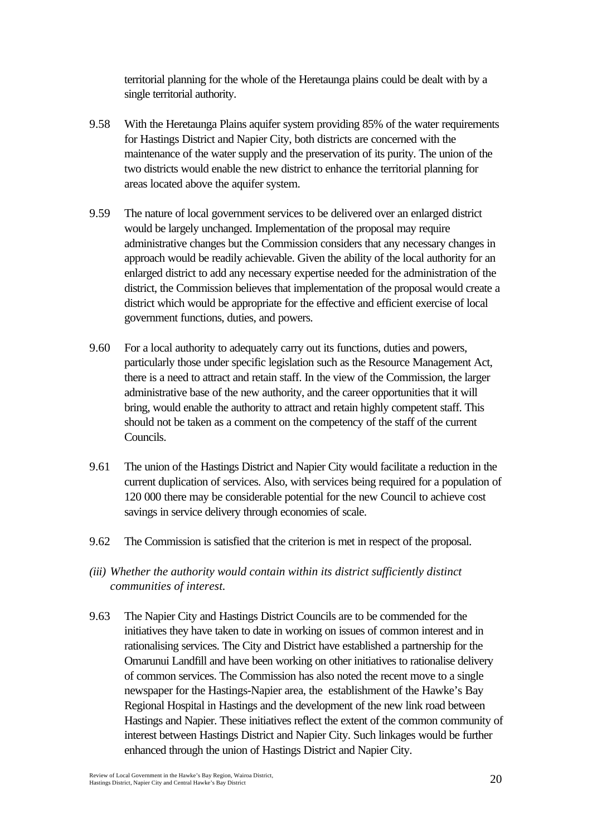territorial planning for the whole of the Heretaunga plains could be dealt with by a single territorial authority.

- 9.58 With the Heretaunga Plains aquifer system providing 85% of the water requirements for Hastings District and Napier City, both districts are concerned with the maintenance of the water supply and the preservation of its purity. The union of the two districts would enable the new district to enhance the territorial planning for areas located above the aquifer system.
- 9.59 The nature of local government services to be delivered over an enlarged district would be largely unchanged. Implementation of the proposal may require administrative changes but the Commission considers that any necessary changes in approach would be readily achievable. Given the ability of the local authority for an enlarged district to add any necessary expertise needed for the administration of the district, the Commission believes that implementation of the proposal would create a district which would be appropriate for the effective and efficient exercise of local government functions, duties, and powers.
- 9.60 For a local authority to adequately carry out its functions, duties and powers, particularly those under specific legislation such as the Resource Management Act, there is a need to attract and retain staff. In the view of the Commission, the larger administrative base of the new authority, and the career opportunities that it will bring, would enable the authority to attract and retain highly competent staff. This should not be taken as a comment on the competency of the staff of the current Councils.
- 9.61 The union of the Hastings District and Napier City would facilitate a reduction in the current duplication of services. Also, with services being required for a population of 120 000 there may be considerable potential for the new Council to achieve cost savings in service delivery through economies of scale.
- 9.62 The Commission is satisfied that the criterion is met in respect of the proposal.
- *(iii) Whether the authority would contain within its district sufficiently distinct communities of interest.*
- 9.63 The Napier City and Hastings District Councils are to be commended for the initiatives they have taken to date in working on issues of common interest and in rationalising services. The City and District have established a partnership for the Omarunui Landfill and have been working on other initiatives to rationalise delivery of common services. The Commission has also noted the recent move to a single newspaper for the Hastings-Napier area, the establishment of the Hawke's Bay Regional Hospital in Hastings and the development of the new link road between Hastings and Napier. These initiatives reflect the extent of the common community of interest between Hastings District and Napier City. Such linkages would be further enhanced through the union of Hastings District and Napier City.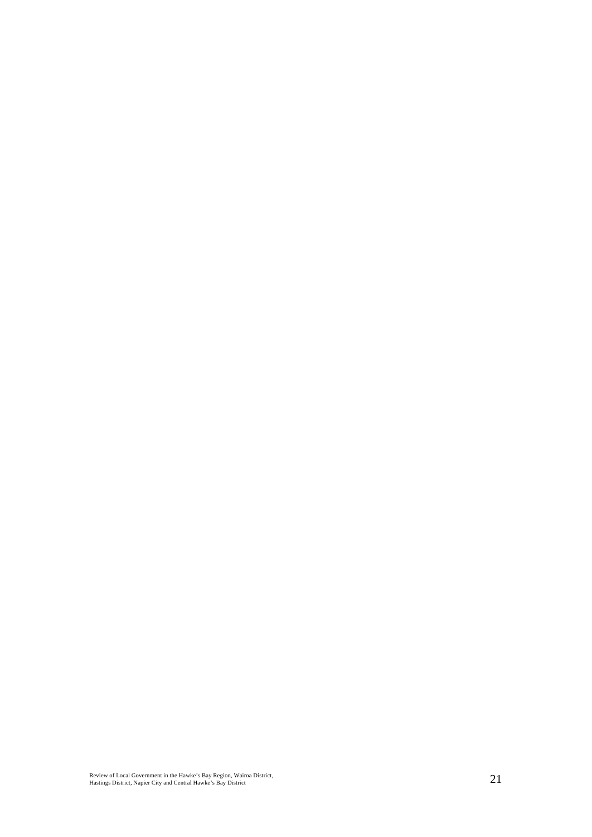Review of Local Government in the Hawke's Bay Region, Wairoa District, 2008 of the State of District 21 (21 Au<br>Hastings District, Napier City and Central Hawke's Bay District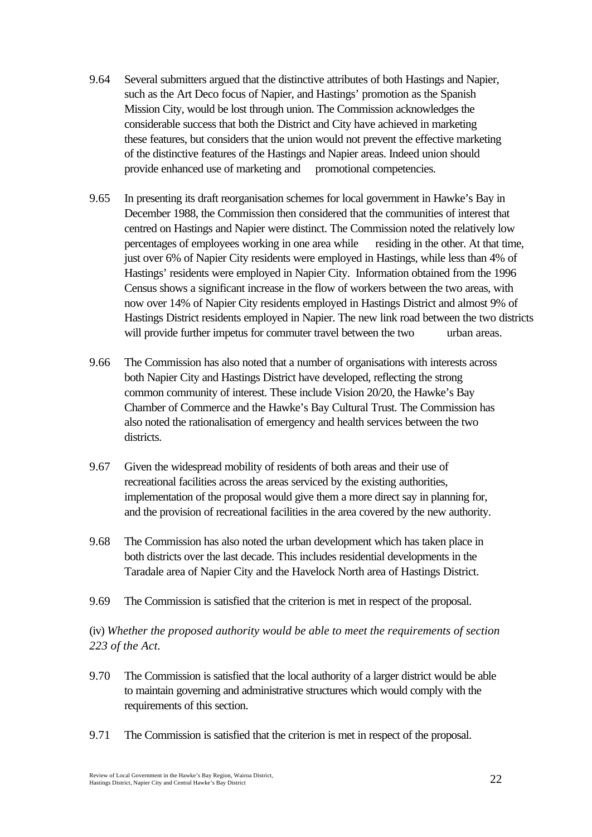- 9.64 Several submitters argued that the distinctive attributes of both Hastings and Napier, such as the Art Deco focus of Napier, and Hastings' promotion as the Spanish Mission City, would be lost through union. The Commission acknowledges the considerable success that both the District and City have achieved in marketing these features, but considers that the union would not prevent the effective marketing of the distinctive features of the Hastings and Napier areas. Indeed union should provide enhanced use of marketing and promotional competencies.
- 9.65 In presenting its draft reorganisation schemes for local government in Hawke's Bay in December 1988, the Commission then considered that the communities of interest that centred on Hastings and Napier were distinct. The Commission noted the relatively low percentages of employees working in one area while residing in the other. At that time, just over 6% of Napier City residents were employed in Hastings, while less than 4% of Hastings' residents were employed in Napier City. Information obtained from the 1996 Census shows a significant increase in the flow of workers between the two areas, with now over 14% of Napier City residents employed in Hastings District and almost 9% of Hastings District residents employed in Napier. The new link road between the two districts will provide further impetus for commuter travel between the two urban areas.
- 9.66 The Commission has also noted that a number of organisations with interests across both Napier City and Hastings District have developed, reflecting the strong common community of interest. These include Vision 20/20, the Hawke's Bay Chamber of Commerce and the Hawke's Bay Cultural Trust. The Commission has also noted the rationalisation of emergency and health services between the two districts.
- 9.67 Given the widespread mobility of residents of both areas and their use of recreational facilities across the areas serviced by the existing authorities, implementation of the proposal would give them a more direct say in planning for, and the provision of recreational facilities in the area covered by the new authority.
- 9.68 The Commission has also noted the urban development which has taken place in both districts over the last decade. This includes residential developments in the Taradale area of Napier City and the Havelock North area of Hastings District.
- 9.69 The Commission is satisfied that the criterion is met in respect of the proposal.

### (iv) *Whether the proposed authority would be able to meet the requirements of section 223 of the Act.*

- 9.70 The Commission is satisfied that the local authority of a larger district would be able to maintain governing and administrative structures which would comply with the requirements of this section.
- 9.71 The Commission is satisfied that the criterion is met in respect of the proposal.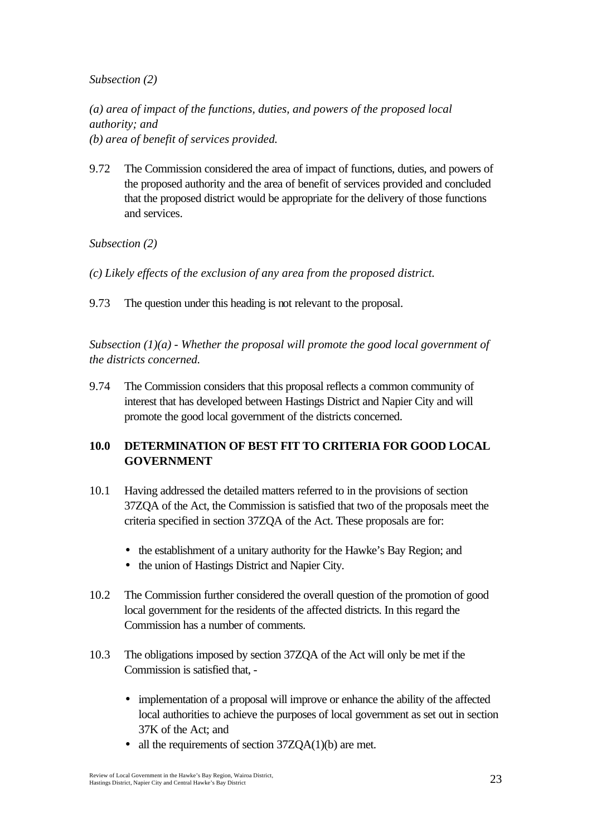*(a) area of impact of the functions, duties, and powers of the proposed local authority; and (b) area of benefit of services provided.*

9.72 The Commission considered the area of impact of functions, duties, and powers of the proposed authority and the area of benefit of services provided and concluded that the proposed district would be appropriate for the delivery of those functions and services.

*Subsection (2)*

- *(c) Likely effects of the exclusion of any area from the proposed district.*
- 9.73 The question under this heading is not relevant to the proposal.

*Subsection (1)(a) - Whether the proposal will promote the good local government of the districts concerned.*

9.74 The Commission considers that this proposal reflects a common community of interest that has developed between Hastings District and Napier City and will promote the good local government of the districts concerned.

### **10.0 DETERMINATION OF BEST FIT TO CRITERIA FOR GOOD LOCAL GOVERNMENT**

- 10.1 Having addressed the detailed matters referred to in the provisions of section 37ZQA of the Act, the Commission is satisfied that two of the proposals meet the criteria specified in section 37ZQA of the Act. These proposals are for:
	- the establishment of a unitary authority for the Hawke's Bay Region; and
	- the union of Hastings District and Napier City.
- 10.2 The Commission further considered the overall question of the promotion of good local government for the residents of the affected districts. In this regard the Commission has a number of comments.
- 10.3 The obligations imposed by section 37ZQA of the Act will only be met if the Commission is satisfied that, -
	- implementation of a proposal will improve or enhance the ability of the affected local authorities to achieve the purposes of local government as set out in section 37K of the Act; and
	- all the requirements of section 37ZQA(1)(b) are met.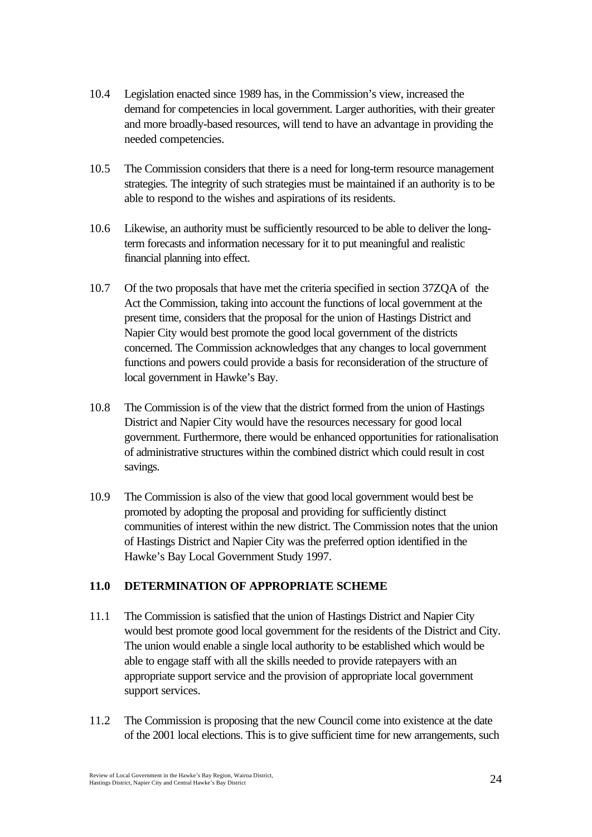- 10.4 Legislation enacted since 1989 has, in the Commission's view, increased the demand for competencies in local government. Larger authorities, with their greater and more broadly-based resources, will tend to have an advantage in providing the needed competencies.
- 10.5 The Commission considers that there is a need for long-term resource management strategies. The integrity of such strategies must be maintained if an authority is to be able to respond to the wishes and aspirations of its residents.
- 10.6 Likewise, an authority must be sufficiently resourced to be able to deliver the longterm forecasts and information necessary for it to put meaningful and realistic financial planning into effect.
- 10.7 Of the two proposals that have met the criteria specified in section 37ZQA of the Act the Commission, taking into account the functions of local government at the present time, considers that the proposal for the union of Hastings District and Napier City would best promote the good local government of the districts concerned. The Commission acknowledges that any changes to local government functions and powers could provide a basis for reconsideration of the structure of local government in Hawke's Bay.
- 10.8 The Commission is of the view that the district formed from the union of Hastings District and Napier City would have the resources necessary for good local government. Furthermore, there would be enhanced opportunities for rationalisation of administrative structures within the combined district which could result in cost savings.
- 10.9 The Commission is also of the view that good local government would best be promoted by adopting the proposal and providing for sufficiently distinct communities of interest within the new district. The Commission notes that the union of Hastings District and Napier City was the preferred option identified in the Hawke's Bay Local Government Study 1997.

### **11.0 DETERMINATION OF APPROPRIATE SCHEME**

- 11.1 The Commission is satisfied that the union of Hastings District and Napier City would best promote good local government for the residents of the District and City. The union would enable a single local authority to be established which would be able to engage staff with all the skills needed to provide ratepayers with an appropriate support service and the provision of appropriate local government support services.
- 11.2 The Commission is proposing that the new Council come into existence at the date of the 2001 local elections. This is to give sufficient time for new arrangements, such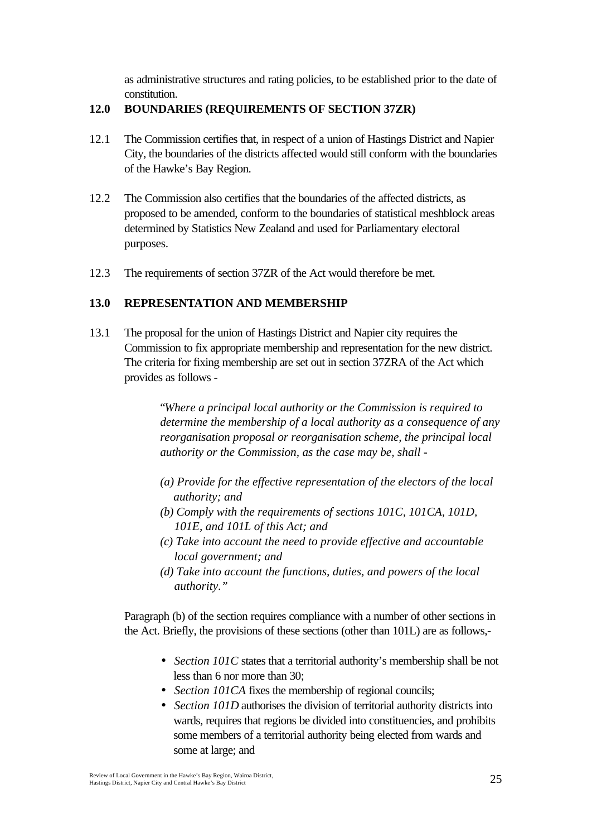as administrative structures and rating policies, to be established prior to the date of constitution.

#### **12.0 BOUNDARIES (REQUIREMENTS OF SECTION 37ZR)**

- 12.1 The Commission certifies that, in respect of a union of Hastings District and Napier City, the boundaries of the districts affected would still conform with the boundaries of the Hawke's Bay Region.
- 12.2 The Commission also certifies that the boundaries of the affected districts, as proposed to be amended, conform to the boundaries of statistical meshblock areas determined by Statistics New Zealand and used for Parliamentary electoral purposes.
- 12.3 The requirements of section 37ZR of the Act would therefore be met.

### **13.0 REPRESENTATION AND MEMBERSHIP**

13.1 The proposal for the union of Hastings District and Napier city requires the Commission to fix appropriate membership and representation for the new district. The criteria for fixing membership are set out in section 37ZRA of the Act which provides as follows -

> "*Where a principal local authority or the Commission is required to determine the membership of a local authority as a consequence of any reorganisation proposal or reorganisation scheme, the principal local authority or the Commission, as the case may be, shall -*

- *(a) Provide for the effective representation of the electors of the local authority; and*
- *(b) Comply with the requirements of sections 101C, 101CA, 101D, 101E, and 101L of this Act; and*
- *(c) Take into account the need to provide effective and accountable local government; and*
- *(d) Take into account the functions, duties, and powers of the local authority."*

Paragraph (b) of the section requires compliance with a number of other sections in the Act. Briefly, the provisions of these sections (other than 101L) are as follows,-

- *Section 101C* states that a territorial authority's membership shall be not less than 6 nor more than 30;
- *Section 101CA* fixes the membership of regional councils;
- *Section 101D* authorises the division of territorial authority districts into wards, requires that regions be divided into constituencies, and prohibits some members of a territorial authority being elected from wards and some at large; and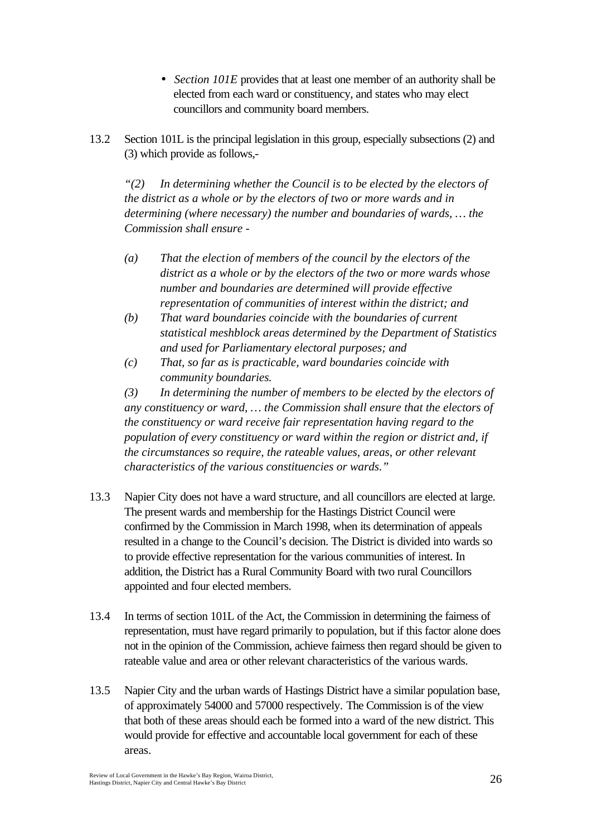- *Section 101E* provides that at least one member of an authority shall be elected from each ward or constituency, and states who may elect councillors and community board members.
- 13.2 Section 101L is the principal legislation in this group, especially subsections (2) and (3) which provide as follows,-

*"(2) In determining whether the Council is to be elected by the electors of the district as a whole or by the electors of two or more wards and in determining (where necessary) the number and boundaries of wards, … the Commission shall ensure -*

- *(a) That the election of members of the council by the electors of the district as a whole or by the electors of the two or more wards whose number and boundaries are determined will provide effective representation of communities of interest within the district; and*
- *(b) That ward boundaries coincide with the boundaries of current statistical meshblock areas determined by the Department of Statistics and used for Parliamentary electoral purposes; and*
- *(c) That, so far as is practicable, ward boundaries coincide with community boundaries.*

*(3) In determining the number of members to be elected by the electors of any constituency or ward, … the Commission shall ensure that the electors of the constituency or ward receive fair representation having regard to the population of every constituency or ward within the region or district and, if the circumstances so require, the rateable values, areas, or other relevant characteristics of the various constituencies or wards."*

- 13.3 Napier City does not have a ward structure, and all councillors are elected at large. The present wards and membership for the Hastings District Council were confirmed by the Commission in March 1998, when its determination of appeals resulted in a change to the Council's decision. The District is divided into wards so to provide effective representation for the various communities of interest. In addition, the District has a Rural Community Board with two rural Councillors appointed and four elected members.
- 13.4 In terms of section 101L of the Act, the Commission in determining the fairness of representation, must have regard primarily to population, but if this factor alone does not in the opinion of the Commission, achieve fairness then regard should be given to rateable value and area or other relevant characteristics of the various wards.
- 13.5 Napier City and the urban wards of Hastings District have a similar population base, of approximately 54000 and 57000 respectively. The Commission is of the view that both of these areas should each be formed into a ward of the new district. This would provide for effective and accountable local government for each of these areas.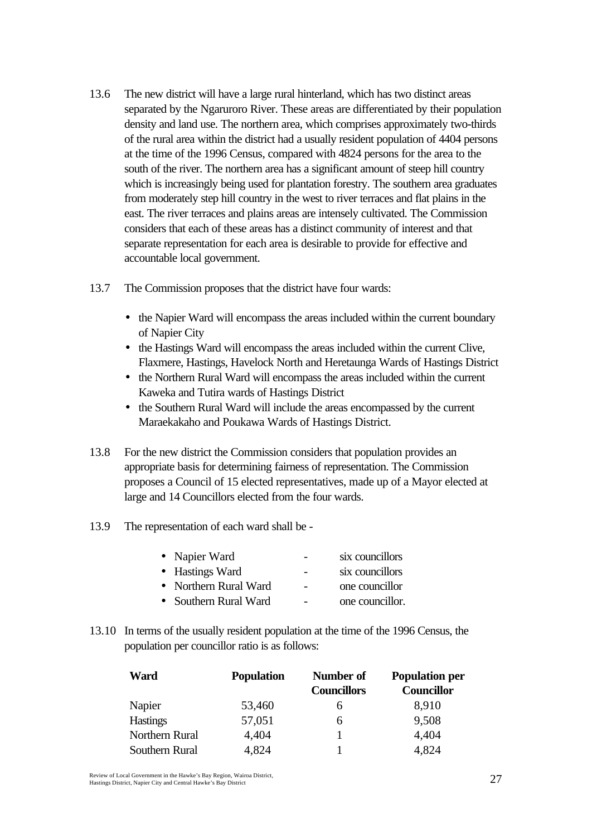- 13.6 The new district will have a large rural hinterland, which has two distinct areas separated by the Ngaruroro River. These areas are differentiated by their population density and land use. The northern area, which comprises approximately two-thirds of the rural area within the district had a usually resident population of 4404 persons at the time of the 1996 Census, compared with 4824 persons for the area to the south of the river. The northern area has a significant amount of steep hill country which is increasingly being used for plantation forestry. The southern area graduates from moderately step hill country in the west to river terraces and flat plains in the east. The river terraces and plains areas are intensely cultivated. The Commission considers that each of these areas has a distinct community of interest and that separate representation for each area is desirable to provide for effective and accountable local government.
- 13.7 The Commission proposes that the district have four wards:
	- the Napier Ward will encompass the areas included within the current boundary of Napier City
	- the Hastings Ward will encompass the areas included within the current Clive, Flaxmere, Hastings, Havelock North and Heretaunga Wards of Hastings District
	- the Northern Rural Ward will encompass the areas included within the current Kaweka and Tutira wards of Hastings District
	- the Southern Rural Ward will include the areas encompassed by the current Maraekakaho and Poukawa Wards of Hastings District.
- 13.8 For the new district the Commission considers that population provides an appropriate basis for determining fairness of representation. The Commission proposes a Council of 15 elected representatives, made up of a Mayor elected at large and 14 Councillors elected from the four wards.
- 13.9 The representation of each ward shall be -

| • Napier Ward         | six councillors |
|-----------------------|-----------------|
| • Hastings Ward       | six councillors |
| • Northern Rural Ward | one councillor  |
| • Southern Rural Ward | one councillor. |

13.10 In terms of the usually resident population at the time of the 1996 Census, the population per councillor ratio is as follows:

| Ward           | <b>Population</b> | Number of          | <b>Population per</b> |
|----------------|-------------------|--------------------|-----------------------|
|                |                   | <b>Councillors</b> | <b>Councillor</b>     |
| Napier         | 53,460            |                    | 8,910                 |
| Hastings       | 57,051            | h                  | 9,508                 |
| Northern Rural | 4,404             |                    | 4,404                 |
| Southern Rural | 4,824             |                    | 4,824                 |

Review of Local Government in the Hawke's Bay Region, Wairoa District, Review of Local Government in the Hawke's Bay Region, Wairoa District,<br>Hastings District, Napier City and Central Hawke's Bay District 2001 (2001) 27 March 2012 (27 March 2012) 27 M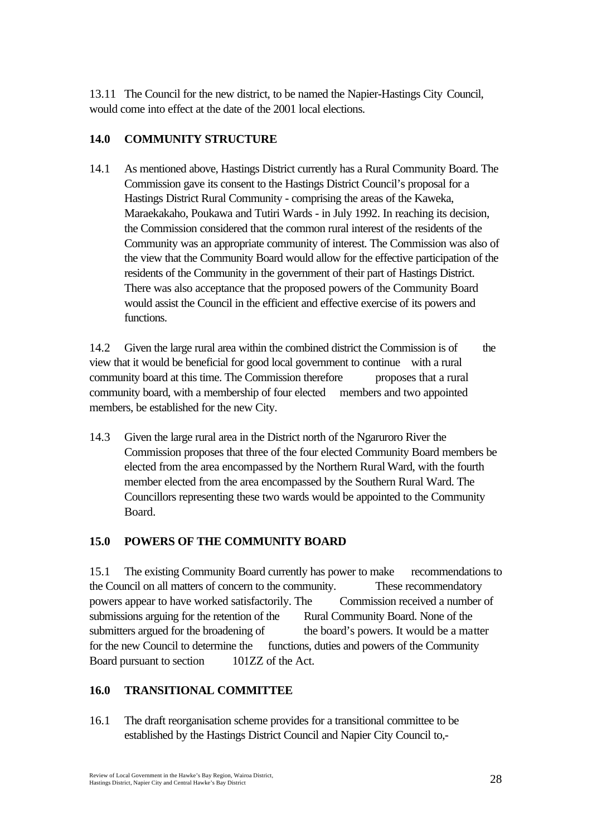13.11 The Council for the new district, to be named the Napier-Hastings City Council, would come into effect at the date of the 2001 local elections.

### **14.0 COMMUNITY STRUCTURE**

14.1 As mentioned above, Hastings District currently has a Rural Community Board. The Commission gave its consent to the Hastings District Council's proposal for a Hastings District Rural Community - comprising the areas of the Kaweka, Maraekakaho, Poukawa and Tutiri Wards - in July 1992. In reaching its decision, the Commission considered that the common rural interest of the residents of the Community was an appropriate community of interest. The Commission was also of the view that the Community Board would allow for the effective participation of the residents of the Community in the government of their part of Hastings District. There was also acceptance that the proposed powers of the Community Board would assist the Council in the efficient and effective exercise of its powers and functions.

14.2 Given the large rural area within the combined district the Commission is of the view that it would be beneficial for good local government to continue with a rural community board at this time. The Commission therefore proposes that a rural community board, with a membership of four elected members and two appointed members, be established for the new City.

14.3 Given the large rural area in the District north of the Ngaruroro River the Commission proposes that three of the four elected Community Board members be elected from the area encompassed by the Northern Rural Ward, with the fourth member elected from the area encompassed by the Southern Rural Ward. The Councillors representing these two wards would be appointed to the Community Board.

# **15.0 POWERS OF THE COMMUNITY BOARD**

15.1 The existing Community Board currently has power to make recommendations to the Council on all matters of concern to the community. These recommendatory powers appear to have worked satisfactorily. The Commission received a number of submissions arguing for the retention of the Rural Community Board. None of the submitters argued for the broadening of the board's powers. It would be a matter for the new Council to determine the functions, duties and powers of the Community Board pursuant to section 101ZZ of the Act.

# **16.0 TRANSITIONAL COMMITTEE**

16.1 The draft reorganisation scheme provides for a transitional committee to be established by the Hastings District Council and Napier City Council to,-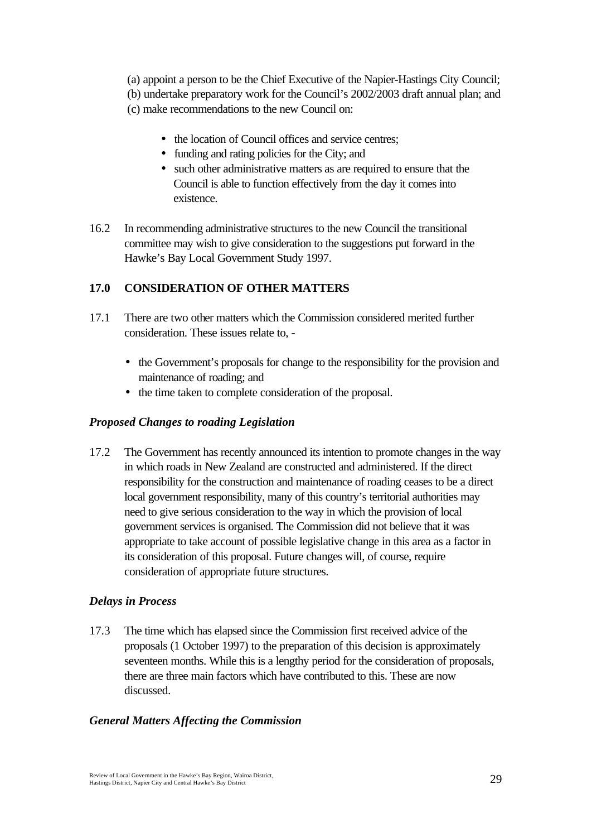(a) appoint a person to be the Chief Executive of the Napier-Hastings City Council; (b) undertake preparatory work for the Council's 2002/2003 draft annual plan; and (c) make recommendations to the new Council on:

- the location of Council offices and service centres:
- funding and rating policies for the City; and
- **·** such other administrative matters as are required to ensure that the Council is able to function effectively from the day it comes into existence.
- 16.2 In recommending administrative structures to the new Council the transitional committee may wish to give consideration to the suggestions put forward in the Hawke's Bay Local Government Study 1997.

### **17.0 CONSIDERATION OF OTHER MATTERS**

- 17.1 There are two other matters which the Commission considered merited further consideration. These issues relate to, -
	- **·** the Government's proposals for change to the responsibility for the provision and maintenance of roading; and
	- **·** the time taken to complete consideration of the proposal.

#### *Proposed Changes to roading Legislation*

17.2 The Government has recently announced its intention to promote changes in the way in which roads in New Zealand are constructed and administered. If the direct responsibility for the construction and maintenance of roading ceases to be a direct local government responsibility, many of this country's territorial authorities may need to give serious consideration to the way in which the provision of local government services is organised. The Commission did not believe that it was appropriate to take account of possible legislative change in this area as a factor in its consideration of this proposal. Future changes will, of course, require consideration of appropriate future structures.

#### *Delays in Process*

17.3 The time which has elapsed since the Commission first received advice of the proposals (1 October 1997) to the preparation of this decision is approximately seventeen months. While this is a lengthy period for the consideration of proposals, there are three main factors which have contributed to this. These are now discussed.

#### *General Matters Affecting the Commission*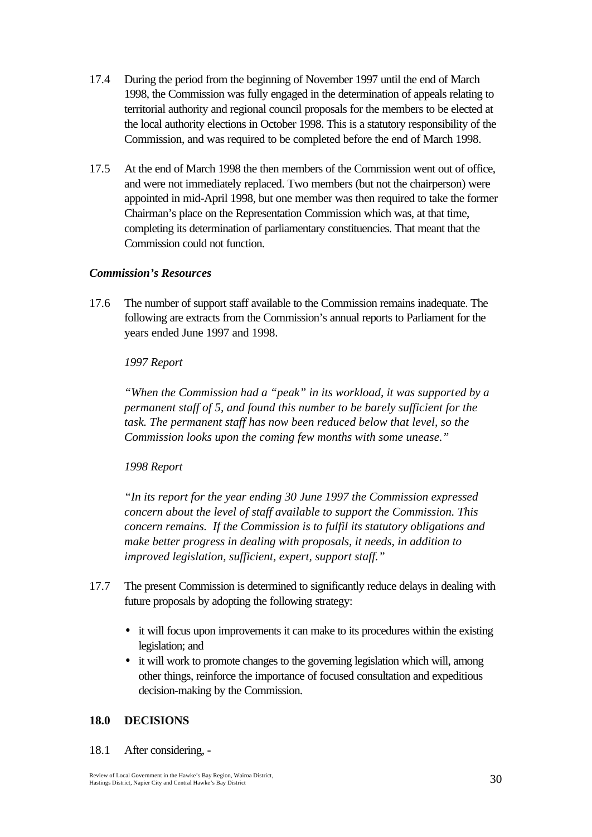- 17.4 During the period from the beginning of November 1997 until the end of March 1998, the Commission was fully engaged in the determination of appeals relating to territorial authority and regional council proposals for the members to be elected at the local authority elections in October 1998. This is a statutory responsibility of the Commission, and was required to be completed before the end of March 1998.
- 17.5 At the end of March 1998 the then members of the Commission went out of office, and were not immediately replaced. Two members (but not the chairperson) were appointed in mid-April 1998, but one member was then required to take the former Chairman's place on the Representation Commission which was, at that time, completing its determination of parliamentary constituencies. That meant that the Commission could not function.

#### *Commission's Resources*

17.6 The number of support staff available to the Commission remains inadequate. The following are extracts from the Commission's annual reports to Parliament for the years ended June 1997 and 1998.

#### *1997 Report*

*"When the Commission had a "peak" in its workload, it was supported by a permanent staff of 5, and found this number to be barely sufficient for the task. The permanent staff has now been reduced below that level, so the Commission looks upon the coming few months with some unease."*

### *1998 Report*

*"In its report for the year ending 30 June 1997 the Commission expressed concern about the level of staff available to support the Commission. This concern remains. If the Commission is to fulfil its statutory obligations and make better progress in dealing with proposals, it needs, in addition to improved legislation, sufficient, expert, support staff."*

- 17.7 The present Commission is determined to significantly reduce delays in dealing with future proposals by adopting the following strategy:
	- it will focus upon improvements it can make to its procedures within the existing legislation; and
	- it will work to promote changes to the governing legislation which will, among other things, reinforce the importance of focused consultation and expeditious decision-making by the Commission.

#### **18.0 DECISIONS**

18.1 After considering, -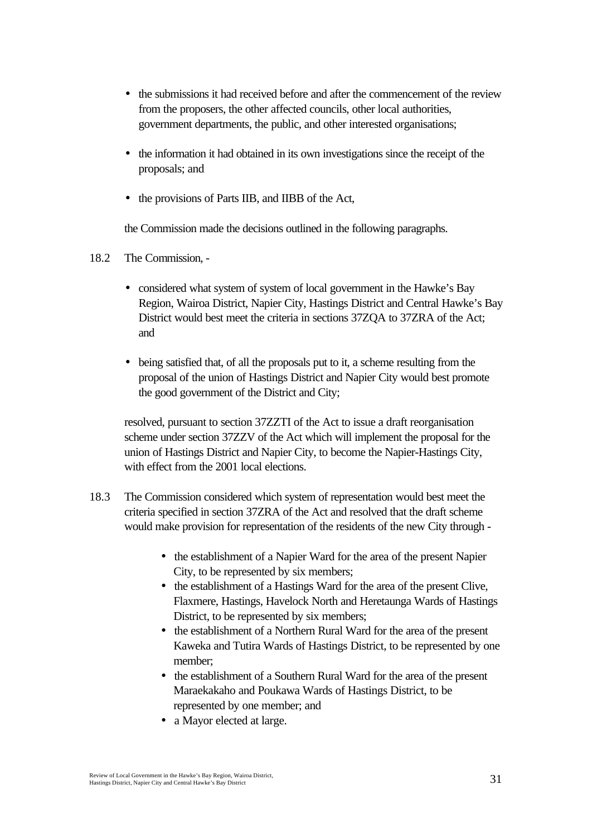- **·** the submissions it had received before and after the commencement of the review from the proposers, the other affected councils, other local authorities, government departments, the public, and other interested organisations;
- the information it had obtained in its own investigations since the receipt of the proposals; and
- the provisions of Parts IIB, and IIBB of the Act,

the Commission made the decisions outlined in the following paragraphs.

18.2 The Commission, -

- considered what system of system of local government in the Hawke's Bay Region, Wairoa District, Napier City, Hastings District and Central Hawke's Bay District would best meet the criteria in sections 37ZQA to 37ZRA of the Act; and
- being satisfied that, of all the proposals put to it, a scheme resulting from the proposal of the union of Hastings District and Napier City would best promote the good government of the District and City;

resolved, pursuant to section 37ZZTI of the Act to issue a draft reorganisation scheme under section 37ZZV of the Act which will implement the proposal for the union of Hastings District and Napier City, to become the Napier-Hastings City, with effect from the 2001 local elections.

- 18.3 The Commission considered which system of representation would best meet the criteria specified in section 37ZRA of the Act and resolved that the draft scheme would make provision for representation of the residents of the new City through -
	- the establishment of a Napier Ward for the area of the present Napier City, to be represented by six members;
	- the establishment of a Hastings Ward for the area of the present Clive, Flaxmere, Hastings, Havelock North and Heretaunga Wards of Hastings District, to be represented by six members;
	- the establishment of a Northern Rural Ward for the area of the present Kaweka and Tutira Wards of Hastings District, to be represented by one member;
	- the establishment of a Southern Rural Ward for the area of the present Maraekakaho and Poukawa Wards of Hastings District, to be represented by one member; and
	- a Mayor elected at large.